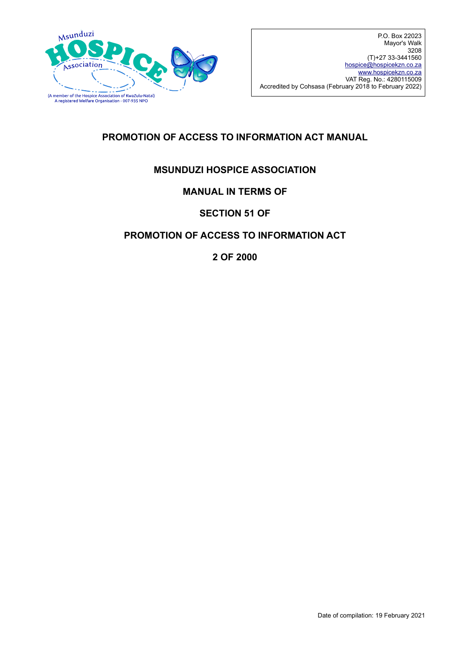

### **PROMOTION OF ACCESS TO INFORMATION ACT MANUAL**

#### **MSUNDUZI HOSPICE ASSOCIATION**

#### **MANUAL IN TERMS OF**

#### **SECTION 51 OF**

#### **PROMOTION OF ACCESS TO INFORMATION ACT**

**2 OF 2000**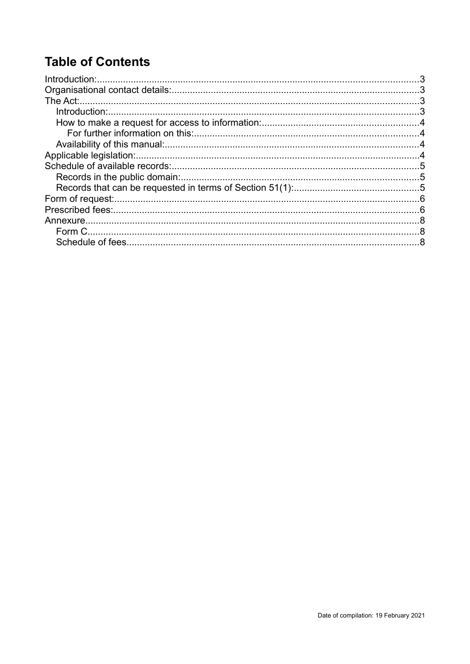# **Table of Contents**

| .3 |
|----|
|    |
|    |
|    |
|    |
|    |
|    |
|    |
|    |
|    |
|    |
|    |
|    |
|    |
|    |
|    |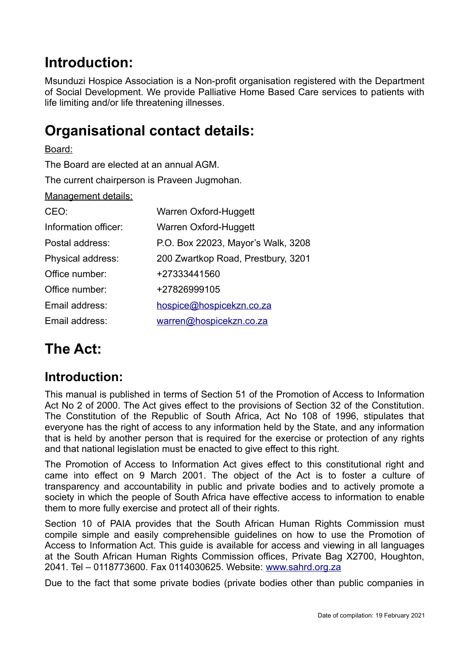## <span id="page-2-0"></span>**Introduction:**

Msunduzi Hospice Association is a Non-profit organisation registered with the Department of Social Development. We provide Palliative Home Based Care services to patients with life limiting and/or life threatening illnesses.

## <span id="page-2-3"></span>**Organisational contact details:**

Board: The Board are elected at an annual AGM. The current chairperson is Praveen Jugmohan. Management details: CEO: Warren Oxford-Huggett Information officer: Warren Oxford-Huggett Postal address: P.O. Box 22023, Mayor's Walk, 3208 Physical address: 200 Zwartkop Road, Prestbury, 3201 Office number: +27333441560 Office number: +27826999105 Email address: [hospice@hospicekzn.co.za](mailto:hospice@hospicekzn.co.za) Email address: [warren@hospicekzn.co.za](mailto:warren@hospicekzn.co.za)

# <span id="page-2-2"></span>**The Act:**

### <span id="page-2-1"></span>**Introduction:**

This manual is published in terms of Section 51 of the Promotion of Access to Information Act No 2 of 2000. The Act gives effect to the provisions of Section 32 of the Constitution. The Constitution of the Republic of South Africa, Act No 108 of 1996, stipulates that everyone has the right of access to any information held by the State, and any information that is held by another person that is required for the exercise or protection of any rights and that national legislation must be enacted to give effect to this right.

The Promotion of Access to Information Act gives effect to this constitutional right and came into effect on 9 March 2001. The object of the Act is to foster a culture of transparency and accountability in public and private bodies and to actively promote a society in which the people of South Africa have effective access to information to enable them to more fully exercise and protect all of their rights.

Section 10 of PAIA provides that the South African Human Rights Commission must compile simple and easily comprehensible guidelines on how to use the Promotion of Access to Information Act. This guide is available for access and viewing in all languages at the South African Human Rights Commission offices, Private Bag X2700, Houghton, 2041. Tel – 0118773600. Fax 0114030625. Website: [www.sahrd.org.za](http://www.sahrd.org.za/)

Due to the fact that some private bodies (private bodies other than public companies in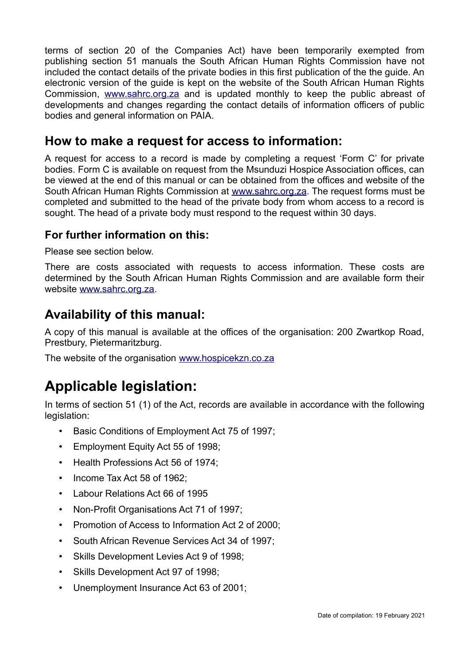terms of section 20 of the Companies Act) have been temporarily exempted from publishing section 51 manuals the South African Human Rights Commission have not included the contact details of the private bodies in this first publication of the the guide. An electronic version of the guide is kept on the website of the South African Human Rights Commission, [www.sahrc.org.za](http://www.sahrc.org.za/) and is updated monthly to keep the public abreast of developments and changes regarding the contact details of information officers of public bodies and general information on PAIA.

### <span id="page-3-3"></span>**How to make a request for access to information:**

A request for access to a record is made by completing a request 'Form C' for private bodies. Form C is available on request from the Msunduzi Hospice Association offices, can be viewed at the end of this manual or can be obtained from the offices and website of the South African Human Rights Commission at www.sahrc.org.za. The request forms must be completed and submitted to the head of the private body from whom access to a record is sought. The head of a private body must respond to the request within 30 days.

#### <span id="page-3-2"></span>**For further information on this:**

Please see section below.

There are costs associated with requests to access information. These costs are determined by the South African Human Rights Commission and are available form their website [www.sahrc.org.za.](http://www.sahrc.org.za/)

### <span id="page-3-1"></span>**Availability of this manual:**

A copy of this manual is available at the offices of the organisation: 200 Zwartkop Road, Prestbury, Pietermaritzburg.

The website of the organisation [www.hospicekzn.co.za](http://www.hospicekzn.co.za/)

# <span id="page-3-0"></span>**Applicable legislation:**

In terms of section 51 (1) of the Act, records are available in accordance with the following legislation:

- Basic Conditions of Employment Act 75 of 1997;
- Employment Equity Act 55 of 1998;
- Health Professions Act 56 of 1974;
- Income Tax Act 58 of 1962:
- Labour Relations Act 66 of 1995
- Non-Profit Organisations Act 71 of 1997;
- Promotion of Access to Information Act 2 of 2000;
- South African Revenue Services Act 34 of 1997;
- Skills Development Levies Act 9 of 1998;
- Skills Development Act 97 of 1998;
- Unemployment Insurance Act 63 of 2001;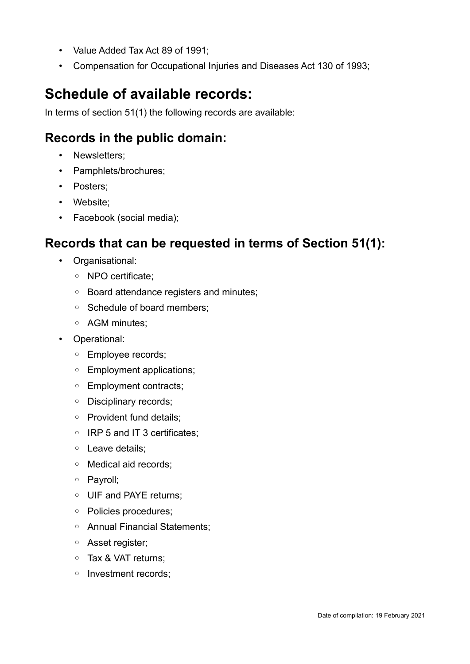- Value Added Tax Act 89 of 1991;
- Compensation for Occupational Injuries and Diseases Act 130 of 1993;

# <span id="page-4-2"></span>**Schedule of available records:**

In terms of section 51(1) the following records are available:

### <span id="page-4-1"></span>**Records in the public domain:**

- Newsletters;
- Pamphlets/brochures;
- Posters;
- Website;
- Facebook (social media);

### <span id="page-4-0"></span>**Records that can be requested in terms of Section 51(1):**

- Organisational:
	- NPO certificate;
	- Board attendance registers and minutes;
	- Schedule of board members;
	- AGM minutes;
- Operational:
	- Employee records;
	- Employment applications;
	- Employment contracts;
	- Disciplinary records;
	- Provident fund details;
	- IRP 5 and IT 3 certificates;
	- Leave details;
	- Medical aid records;
	- Payroll;
	- UIF and PAYE returns;
	- Policies procedures;
	- Annual Financial Statements;
	- Asset register;
	- Tax & VAT returns;
	- Investment records;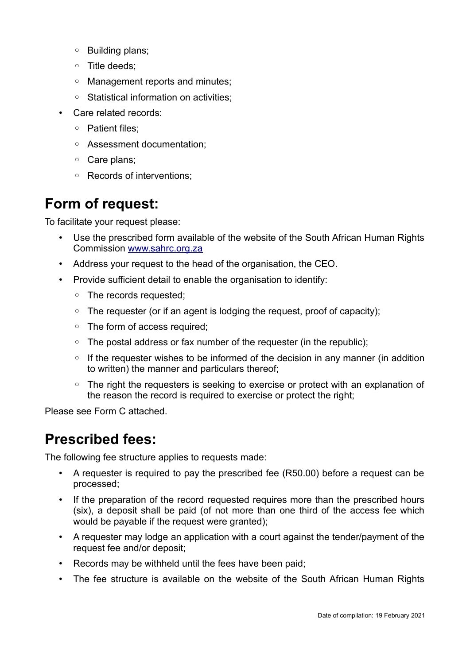- Building plans;
- Title deeds;
- Management reports and minutes;
- Statistical information on activities;
- Care related records:
	- Patient files;
	- Assessment documentation;
	- Care plans;
	- Records of interventions;

## <span id="page-5-1"></span>**Form of request:**

To facilitate your request please:

- Use the prescribed form available of the website of the South African Human Rights Commission [www.sahrc.org.za](http://www.sahrc.org.za/)
- Address your request to the head of the organisation, the CEO.
- Provide sufficient detail to enable the organisation to identify:
	- The records requested;
	- The requester (or if an agent is lodging the request, proof of capacity);
	- The form of access required;
	- The postal address or fax number of the requester (in the republic);
	- If the requester wishes to be informed of the decision in any manner (in addition to written) the manner and particulars thereof;
	- The right the requesters is seeking to exercise or protect with an explanation of the reason the record is required to exercise or protect the right;

Please see Form C attached.

## <span id="page-5-0"></span>**Prescribed fees:**

The following fee structure applies to requests made:

- A requester is required to pay the prescribed fee (R50.00) before a request can be processed;
- If the preparation of the record requested requires more than the prescribed hours (six), a deposit shall be paid (of not more than one third of the access fee which would be payable if the request were granted);
- A requester may lodge an application with a court against the tender/payment of the request fee and/or deposit;
- Records may be withheld until the fees have been paid;
- The fee structure is available on the website of the South African Human Rights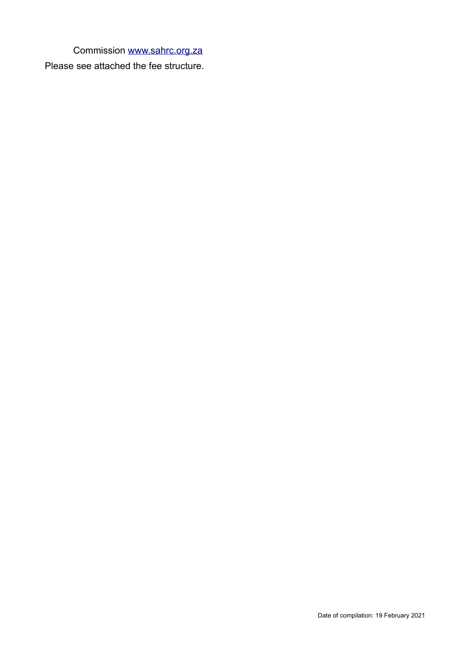Commission [www.sahrc.org.za](http://www.sahrc.org.za/)

Please see attached the fee structure.